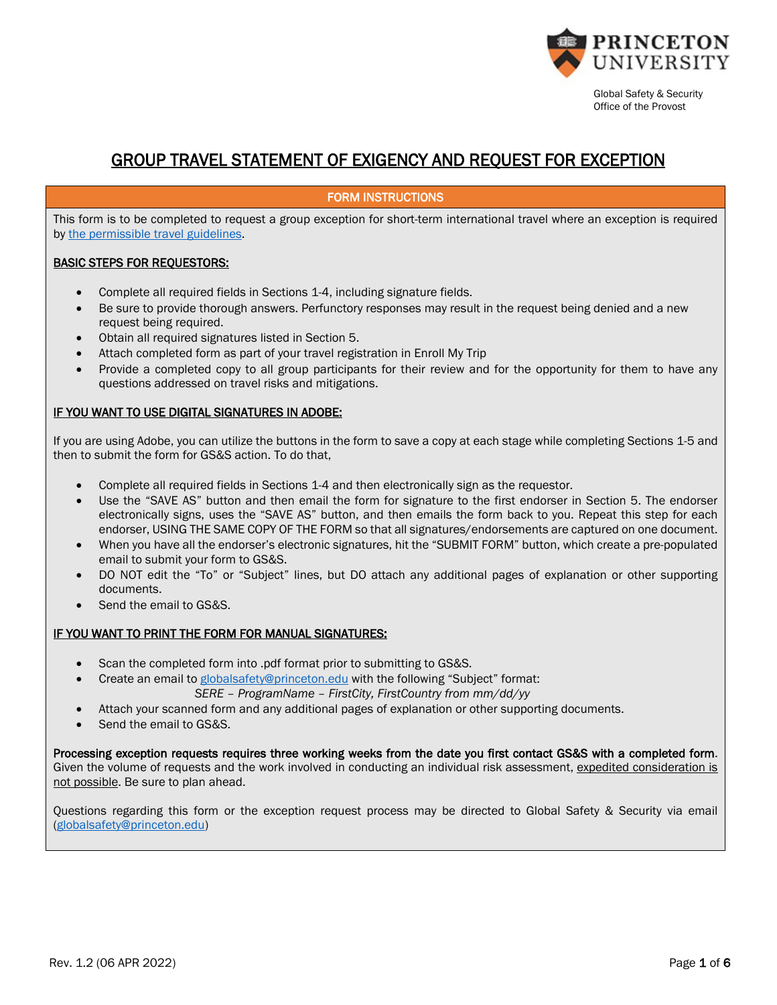

# GROUP TRAVEL STATEMENT OF EXIGENCY AND REQUEST FOR EXCEPTION

#### FORM INSTRUCTIONS

This form is to be completed to request a group exception for short-term international travel where an exception is required by [the permissible travel guidelines.](https://international.princeton.edu/pandemic-travel-policy)

#### BASIC STEPS FOR REQUESTORS:

- Complete all required fields in Sections 1-4, including signature fields.
- Be sure to provide thorough answers. Perfunctory responses may result in the request being denied and a new request being required.
- Obtain all required signatures listed in Section 5.
- Attach completed form as part of your travel registration in Enroll My Trip
- Provide a completed copy to all group participants for their review and for the opportunity for them to have any questions addressed on travel risks and mitigations.

#### IF YOU WANT TO USE DIGITAL SIGNATURES IN ADOBE:

If you are using Adobe, you can utilize the buttons in the form to save a copy at each stage while completing Sections 1-5 and then to submit the form for GS&S action. To do that,

- Complete all required fields in Sections 1-4 and then electronically sign as the requestor.
- Use the "SAVE AS" button and then email the form for signature to the first endorser in Section 5. The endorser electronically signs, uses the "SAVE AS" button, and then emails the form back to you. Repeat this step for each endorser, USING THE SAME COPY OF THE FORM so that all signatures/endorsements are captured on one document.
- When you have all the endorser's electronic signatures, hit the "SUBMIT FORM" button, which create a pre-populated email to submit your form to GS&S.
- DO NOT edit the "To" or "Subject" lines, but DO attach any additional pages of explanation or other supporting documents.
- Send the email to GS&S.

### IF YOU WANT TO PRINT THE FORM FOR MANUAL SIGNATURES:

- Scan the completed form into .pdf format prior to submitting to GS&S.
- Create an email to [globalsafety@princeton.edu](mailto:globalsafety@princeton.edu) with the following "Subject" format: *SERE – ProgramName – FirstCity, FirstCountry from mm/dd/yy*
- Attach your scanned form and any additional pages of explanation or other supporting documents.
- Send the email to GS&S.

Processing exception requests requires three working weeks from the date you first contact GS&S with a completed form. Given the volume of requests and the work involved in conducting an individual risk assessment, expedited consideration is not possible. Be sure to plan ahead.

Questions regarding this form or the exception request process may be directed to Global Safety & Security via email [\(globalsafety@princeton.edu\)](mailto:globalsafety@princeton.edu)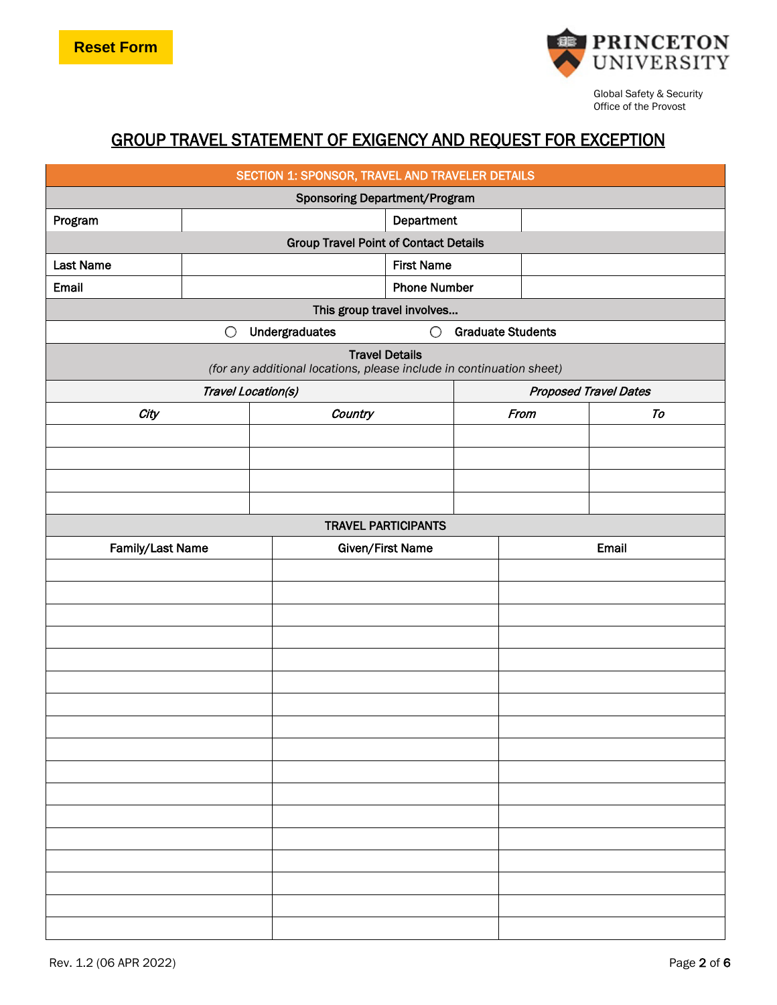

# GROUP TRAVEL STATEMENT OF EXIGENCY AND REQUEST FOR EXCEPTION

| SECTION 1: SPONSOR, TRAVEL AND TRAVELER DETAILS |            |                                                                      |                            |                          |                              |    |  |
|-------------------------------------------------|------------|----------------------------------------------------------------------|----------------------------|--------------------------|------------------------------|----|--|
| <b>Sponsoring Department/Program</b>            |            |                                                                      |                            |                          |                              |    |  |
| Program                                         | Department |                                                                      |                            |                          |                              |    |  |
| <b>Group Travel Point of Contact Details</b>    |            |                                                                      |                            |                          |                              |    |  |
| <b>Last Name</b>                                |            |                                                                      | <b>First Name</b>          |                          |                              |    |  |
| Email                                           |            |                                                                      | <b>Phone Number</b>        |                          |                              |    |  |
|                                                 |            | This group travel involves                                           |                            |                          |                              |    |  |
|                                                 | $\bigcirc$ | Undergraduates                                                       | $\bigcirc$                 | <b>Graduate Students</b> |                              |    |  |
|                                                 |            | (for any additional locations, please include in continuation sheet) | <b>Travel Details</b>      |                          |                              |    |  |
|                                                 |            | Travel Location(s)                                                   |                            |                          | <b>Proposed Travel Dates</b> |    |  |
| City                                            |            | Country                                                              |                            |                          | From                         | To |  |
|                                                 |            |                                                                      |                            |                          |                              |    |  |
|                                                 |            |                                                                      |                            |                          |                              |    |  |
|                                                 |            |                                                                      |                            |                          |                              |    |  |
|                                                 |            |                                                                      |                            |                          |                              |    |  |
|                                                 |            |                                                                      | <b>TRAVEL PARTICIPANTS</b> |                          |                              |    |  |
| Family/Last Name                                |            |                                                                      | Given/First Name           |                          | Email                        |    |  |
|                                                 |            |                                                                      |                            |                          |                              |    |  |
|                                                 |            |                                                                      |                            |                          |                              |    |  |
|                                                 |            |                                                                      |                            |                          |                              |    |  |
|                                                 |            |                                                                      |                            |                          |                              |    |  |
|                                                 |            |                                                                      |                            |                          |                              |    |  |
|                                                 |            |                                                                      |                            |                          |                              |    |  |
|                                                 |            |                                                                      |                            |                          |                              |    |  |
|                                                 |            |                                                                      |                            |                          |                              |    |  |
|                                                 |            |                                                                      |                            |                          |                              |    |  |
|                                                 |            |                                                                      |                            |                          |                              |    |  |
|                                                 |            |                                                                      |                            |                          |                              |    |  |
|                                                 |            |                                                                      |                            |                          |                              |    |  |
|                                                 |            |                                                                      |                            |                          |                              |    |  |
|                                                 |            |                                                                      |                            |                          |                              |    |  |
|                                                 |            |                                                                      |                            |                          |                              |    |  |
|                                                 |            |                                                                      |                            |                          |                              |    |  |
|                                                 |            |                                                                      |                            |                          |                              |    |  |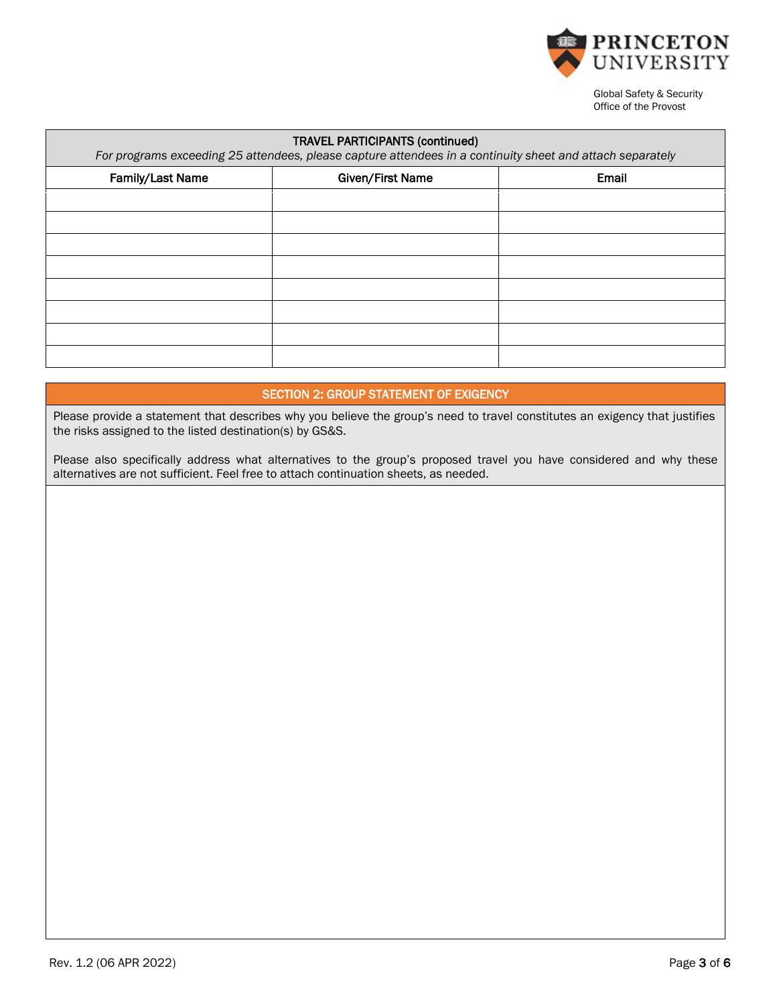

| <b>TRAVEL PARTICIPANTS (continued)</b><br>For programs exceeding 25 attendees, please capture attendees in a continuity sheet and attach separately |  |       |  |  |  |
|-----------------------------------------------------------------------------------------------------------------------------------------------------|--|-------|--|--|--|
| Given/First Name<br>Family/Last Name                                                                                                                |  | Email |  |  |  |
|                                                                                                                                                     |  |       |  |  |  |
|                                                                                                                                                     |  |       |  |  |  |
|                                                                                                                                                     |  |       |  |  |  |
|                                                                                                                                                     |  |       |  |  |  |
|                                                                                                                                                     |  |       |  |  |  |
|                                                                                                                                                     |  |       |  |  |  |
|                                                                                                                                                     |  |       |  |  |  |
|                                                                                                                                                     |  |       |  |  |  |

## SECTION 2: GROUP STATEMENT OF EXIGENCY

Please provide a statement that describes why you believe the group's need to travel constitutes an exigency that justifies the risks assigned to the listed destination(s) by GS&S.

Please also specifically address what alternatives to the group's proposed travel you have considered and why these alternatives are not sufficient. Feel free to attach continuation sheets, as needed.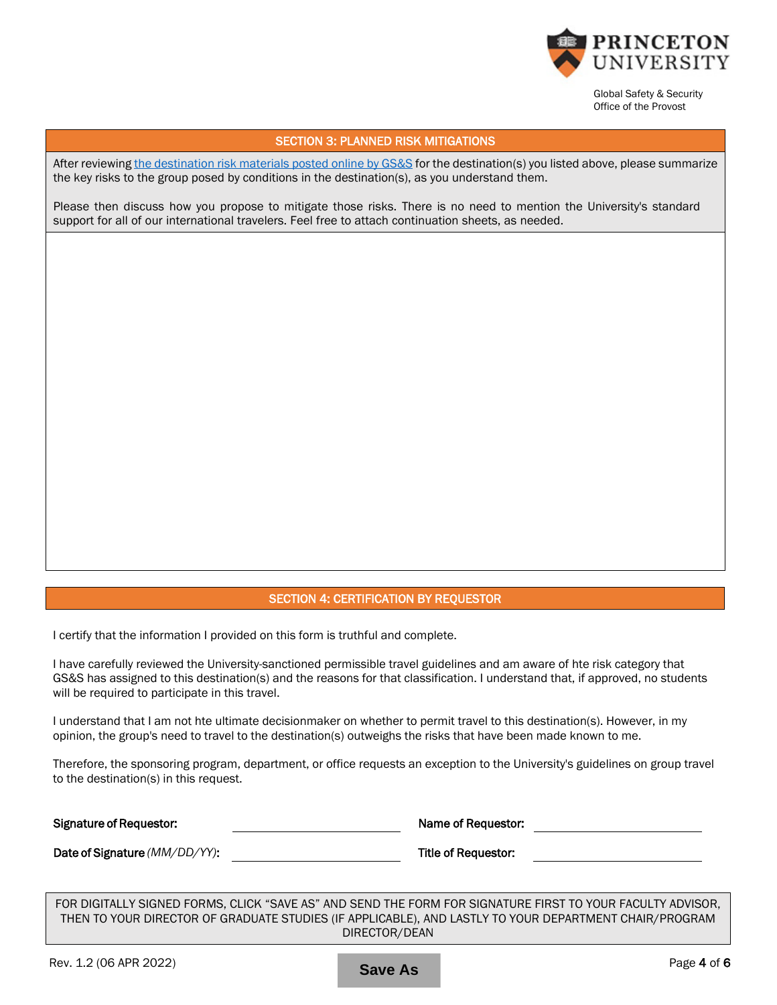

#### SECTION 3: PLANNED RISK MITIGATIONS

After reviewing [the destination risk materials posted online by GS&S](https://international.princeton.edu/global-support-resources/destination-guidance) for the destination(s) you listed above, please summarize the key risks to the group posed by conditions in the destination(s), as you understand them.

Please then discuss how you propose to mitigate those risks. There is no need to mention the University's standard support for all of our international travelers. Feel free to attach continuation sheets, as needed.

#### SECTION 4: CERTIFICATION BY REQUESTOR

I certify that the information I provided on this form is truthful and complete.

I have carefully reviewed the University-sanctioned permissible travel guidelines and am aware of hte risk category that GS&S has assigned to this destination(s) and the reasons for that classification. I understand that, if approved, no students will be required to participate in this travel.

I understand that I am not hte ultimate decisionmaker on whether to permit travel to this destination(s). However, in my opinion, the group's need to travel to the destination(s) outweighs the risks that have been made known to me.

Therefore, the sponsoring program, department, or office requests an exception to the University's guidelines on group travel to the destination(s) in this request.

| <b>Signature of Requestor:</b> | Name of Requestor:  |  |
|--------------------------------|---------------------|--|
| Date of Signature (MM/DD/YY):  | Title of Requestor: |  |

FOR DIGITALLY SIGNED FORMS, CLICK "SAVE AS" AND SEND THE FORM FOR SIGNATURE FIRST TO YOUR FACULTY ADVISOR, THEN TO YOUR DIRECTOR OF GRADUATE STUDIES (IF APPLICABLE), AND LASTLY TO YOUR DEPARTMENT CHAIR/PROGRAM DIRECTOR/DEAN

**Save As**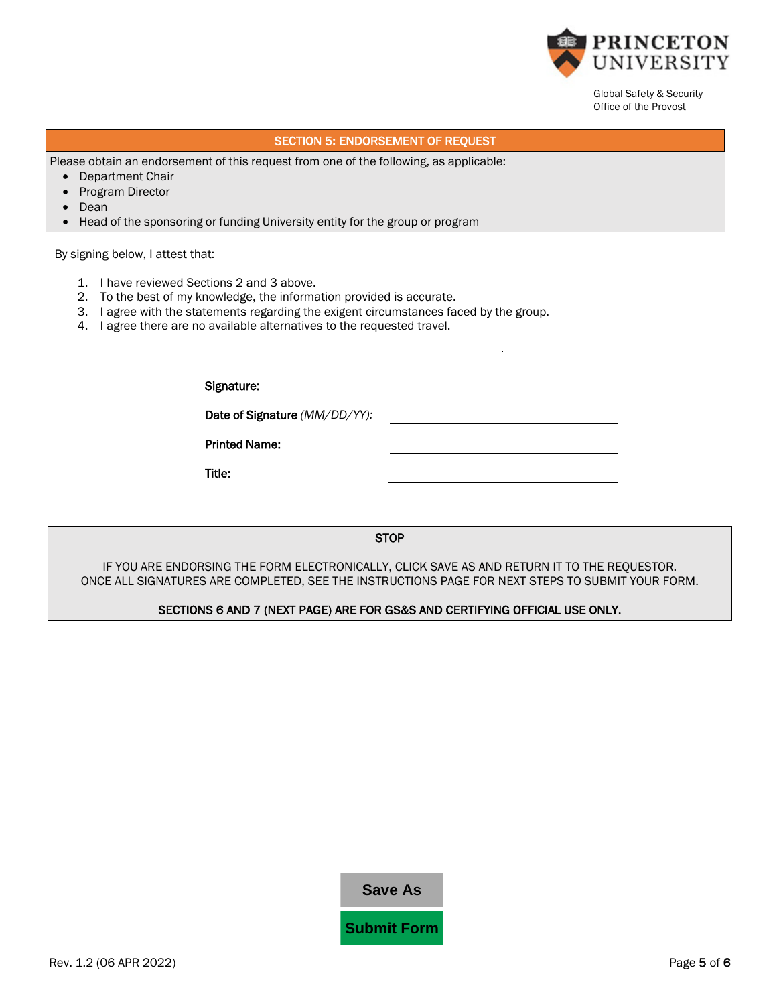

# SECTION 5: ENDORSEMENT OF REQUEST

Please obtain an endorsement of this request from one of the following, as applicable:

- Department Chair
- Program Director
- Dean
- Head of the sponsoring or funding University entity for the group or program

By signing below, I attest that:

- 1. I have reviewed Sections 2 and 3 above.
- 2. To the best of my knowledge, the information provided is accurate.
- 3. I agree with the statements regarding the exigent circumstances faced by the group.
- 4. I agree there are no available alternatives to the requested travel.

| Signature:                    |  |
|-------------------------------|--|
| Date of Signature (MM/DD/YY): |  |
| <b>Printed Name:</b>          |  |
| Title:                        |  |
|                               |  |

#### **STOP**

IF YOU ARE ENDORSING THE FORM ELECTRONICALLY, CLICK SAVE AS AND RETURN IT TO THE REQUESTOR. ONCE ALL SIGNATURES ARE COMPLETED, SEE THE INSTRUCTIONS PAGE FOR NEXT STEPS TO SUBMIT YOUR FORM.

#### SECTIONS 6 AND 7 (NEXT PAGE) ARE FOR GS&S AND CERTIFYING OFFICIAL USE ONLY.

| <b>Save As</b> |
|----------------|
|----------------|

**Submit Form**